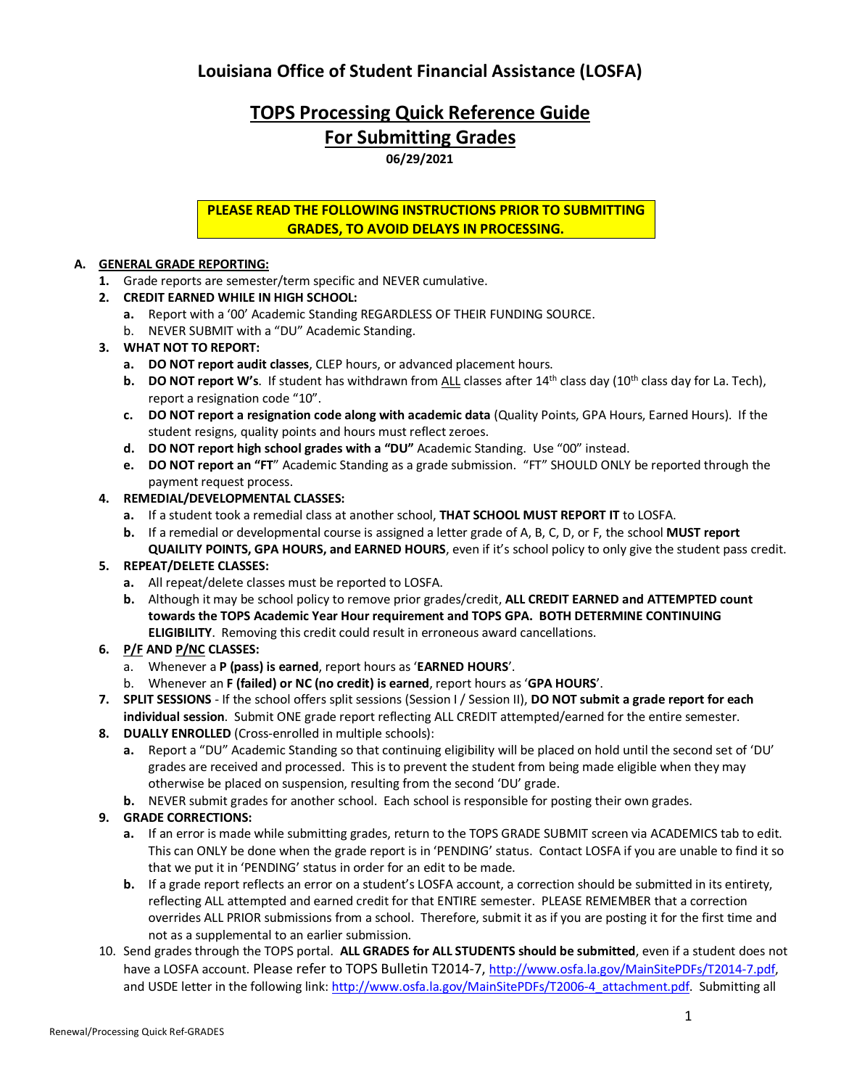## **Louisiana Office of Student Financial Assistance (LOSFA)**

# **TOPS Processing Quick Reference Guide For Submitting Grades**

**06/29/2021**

## **PLEASE READ THE FOLLOWING INSTRUCTIONS PRIOR TO SUBMITTING GRADES, TO AVOID DELAYS IN PROCESSING.**

## **A. GENERAL GRADE REPORTING:**

- **1.** Grade reports are semester/term specific and NEVER cumulative.
- **2. CREDIT EARNED WHILE IN HIGH SCHOOL:**
	- **a.** Report with a '00' Academic Standing REGARDLESS OF THEIR FUNDING SOURCE.
	- b. NEVER SUBMIT with a "DU" Academic Standing.

## **3. WHAT NOT TO REPORT:**

- **a. DO NOT report audit classes**, CLEP hours, or advanced placement hours.
- **b. DO NOT report W's**. If student has withdrawn from ALL classes after 14<sup>th</sup> class day (10<sup>th</sup> class day for La. Tech), report a resignation code "10".
- **c. DO NOT report a resignation code along with academic data** (Quality Points, GPA Hours, Earned Hours). If the student resigns, quality points and hours must reflect zeroes.
- **d. DO NOT report high school grades with a "DU"** Academic Standing. Use "00" instead.
- **e. DO NOT report an "FT**" Academic Standing as a grade submission. "FT" SHOULD ONLY be reported through the payment request process.

## **4. REMEDIAL/DEVELOPMENTAL CLASSES:**

- **a.** If a student took a remedial class at another school, **THAT SCHOOL MUST REPORT IT** to LOSFA.
- **b.** If a remedial or developmental course is assigned a letter grade of A, B, C, D, or F, the school **MUST report QUAILITY POINTS, GPA HOURS, and EARNED HOURS**, even if it's school policy to only give the student pass credit.

## **5. REPEAT/DELETE CLASSES:**

- **a.** All repeat/delete classes must be reported to LOSFA.
- **b.** Although it may be school policy to remove prior grades/credit, **ALL CREDIT EARNED and ATTEMPTED count towards the TOPS Academic Year Hour requirement and TOPS GPA. BOTH DETERMINE CONTINUING ELIGIBILITY**. Removing this credit could result in erroneous award cancellations.

## **6. P/F AND P/NC CLASSES:**

- a. Whenever a **P (pass) is earned**, report hours as '**EARNED HOURS**'.
- b. Whenever an **F (failed) or NC (no credit) is earned**, report hours as '**GPA HOURS**'.
- **7. SPLIT SESSIONS** If the school offers split sessions (Session I / Session II), **DO NOT submit a grade report for each individual session**. Submit ONE grade report reflecting ALL CREDIT attempted/earned for the entire semester.
- **8. DUALLY ENROLLED** (Cross-enrolled in multiple schools):
	- **a.** Report a "DU" Academic Standing so that continuing eligibility will be placed on hold until the second set of 'DU' grades are received and processed. This is to prevent the student from being made eligible when they may otherwise be placed on suspension, resulting from the second 'DU' grade.
	- **b.** NEVER submit grades for another school. Each school is responsible for posting their own grades.

## **9. GRADE CORRECTIONS:**

- **a.** If an error is made while submitting grades, return to the TOPS GRADE SUBMIT screen via ACADEMICS tab to edit. This can ONLY be done when the grade report is in 'PENDING' status. Contact LOSFA if you are unable to find it so that we put it in 'PENDING' status in order for an edit to be made.
- **b.** If a grade report reflects an error on a student's LOSFA account, a correction should be submitted in its entirety, reflecting ALL attempted and earned credit for that ENTIRE semester. PLEASE REMEMBER that a correction overrides ALL PRIOR submissions from a school. Therefore, submit it as if you are posting it for the first time and not as a supplemental to an earlier submission.
- 10. Send grades through the TOPS portal. **ALL GRADES for ALL STUDENTS should be submitted**, even if a student does not have a LOSFA account. Please refer to TOPS Bulletin T2014-7, http://www.osfa.la.gov/MainSitePDFs/T2014-7.pdf, and USDE letter in the following link: http://www.osfa.la.gov/MainSitePDFs/T2006-4\_attachment.pdf. Submitting all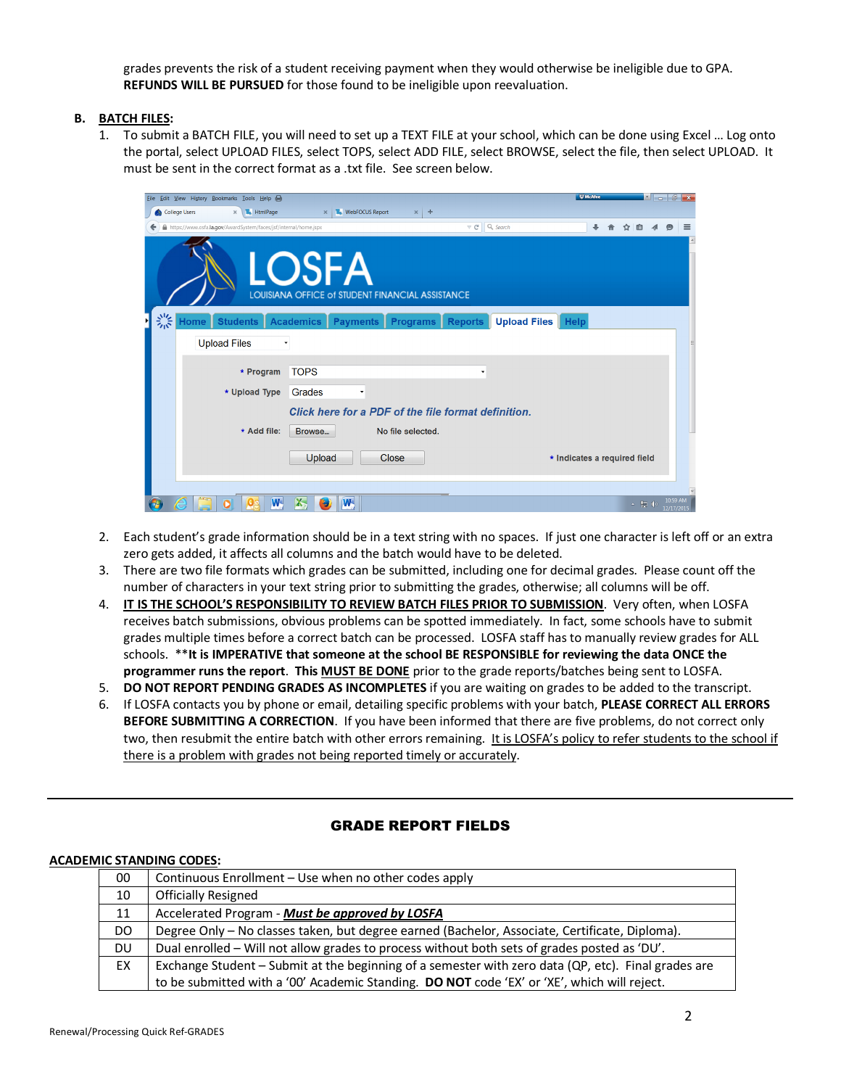grades prevents the risk of a student receiving payment when they would otherwise be ineligible due to GPA. **REFUNDS WILL BE PURSUED** for those found to be ineligible upon reevaluation.

#### **B. BATCH FILES:**

1. To submit a BATCH FILE, you will need to set up a TEXT FILE at your school, which can be done using Excel … Log onto the portal, select UPLOAD FILES, select TOPS, select ADD FILE, select BROWSE, select the file, then select UPLOAD. It must be sent in the correct format as a .txt file. See screen below.

|   |               | Eile Edit View History Bookmarks Tools Help                      |                                                                  |       |                   |                                                     | <b>W</b> McAfee              |        |                      | $\mathbf{r}$ . $\mathbf{r}$ . The state $\mathbf{x}$ |          |
|---|---------------|------------------------------------------------------------------|------------------------------------------------------------------|-------|-------------------|-----------------------------------------------------|------------------------------|--------|----------------------|------------------------------------------------------|----------|
|   | College Users | HtmlPage<br>$\times$                                             | $\times$ WebFOCUS Report                                         |       | $x$ +             |                                                     |                              |        |                      |                                                      |          |
|   |               | https://www.osfa.la.gov/AwardSystem/faces/jsf/internal/home.jspx |                                                                  |       |                   | Q Search<br>$\mathcal{L} \subset \mathbb{C}^n$      |                              | ☆<br>自 |                      |                                                      | $\equiv$ |
|   |               |                                                                  | <b>LOSFA</b><br>LOUISIANA OFFICE of STUDENT FINANCIAL ASSISTANCE |       |                   |                                                     |                              |        |                      |                                                      |          |
| 警 | Home          | <b>Students</b>                                                  | <b>Academics</b><br><b>Payments</b>                              |       | <b>Programs</b>   | <b>Upload Files</b><br><b>Reports</b>               | <b>Help</b>                  |        |                      |                                                      |          |
|   |               | <b>Upload Files</b>                                              |                                                                  |       |                   |                                                     |                              |        |                      |                                                      |          |
|   |               | * Program<br>* Upload Type                                       | <b>TOPS</b><br>Grades<br>$\blacktriangledown$                    |       |                   |                                                     |                              |        |                      |                                                      |          |
|   |               |                                                                  |                                                                  |       |                   | Click here for a PDF of the file format definition. |                              |        |                      |                                                      |          |
|   |               | * Add file:                                                      | Browse                                                           |       | No file selected. |                                                     |                              |        |                      |                                                      |          |
|   |               |                                                                  | Upload                                                           | Close |                   |                                                     | * Indicates a required field |        |                      |                                                      |          |
|   | €             | W,                                                               | W.<br>X,                                                         |       |                   |                                                     |                              |        | $\triangle$ $\Box$ ( | 10:59 AM<br>12/17/2015                               |          |

- 2. Each student's grade information should be in a text string with no spaces. If just one character is left off or an extra zero gets added, it affects all columns and the batch would have to be deleted.
- 3. There are two file formats which grades can be submitted, including one for decimal grades. Please count off the number of characters in your text string prior to submitting the grades, otherwise; all columns will be off.
- 4. **IT IS THE SCHOOL'S RESPONSIBILITY TO REVIEW BATCH FILES PRIOR TO SUBMISSION**. Very often, when LOSFA receives batch submissions, obvious problems can be spotted immediately. In fact, some schools have to submit grades multiple times before a correct batch can be processed. LOSFA staff has to manually review grades for ALL schools. \*\***It is IMPERATIVE that someone at the school BE RESPONSIBLE for reviewing the data ONCE the programmer runs the report**. **This MUST BE DONE** prior to the grade reports/batches being sent to LOSFA.
- 5. **DO NOT REPORT PENDING GRADES AS INCOMPLETES** if you are waiting on grades to be added to the transcript.
- 6. If LOSFA contacts you by phone or email, detailing specific problems with your batch, **PLEASE CORRECT ALL ERRORS BEFORE SUBMITTING A CORRECTION**. If you have been informed that there are five problems, do not correct only two, then resubmit the entire batch with other errors remaining. It is LOSFA's policy to refer students to the school if there is a problem with grades not being reported timely or accurately.

#### GRADE REPORT FIELDS

#### **ACADEMIC STANDING CODES:**

| 00 | Continuous Enrollment – Use when no other codes apply                                               |  |  |  |
|----|-----------------------------------------------------------------------------------------------------|--|--|--|
| 10 | <b>Officially Resigned</b>                                                                          |  |  |  |
| 11 | Accelerated Program - Must be approved by LOSFA                                                     |  |  |  |
| DO | Degree Only - No classes taken, but degree earned (Bachelor, Associate, Certificate, Diploma).      |  |  |  |
| DU | Dual enrolled – Will not allow grades to process without both sets of grades posted as 'DU'.        |  |  |  |
| EX | Exchange Student – Submit at the beginning of a semester with zero data (QP, etc). Final grades are |  |  |  |
|    | to be submitted with a '00' Academic Standing. DO NOT code 'EX' or 'XE', which will reject.         |  |  |  |